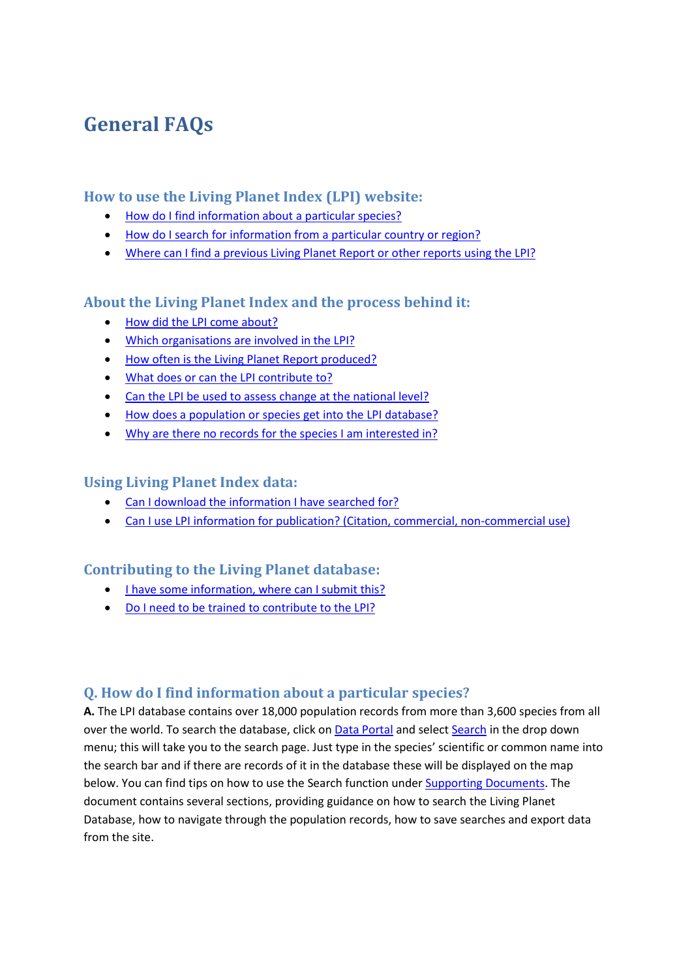# **General FAQs**

# **How to use the Living Planet Index (LPI) website:**

- [How do I find information about a particular species?](#page-0-0)
- [How do I search for information from a particular country or region?](#page-1-0)
- [Where can I find a previous Living Planet Report or other reports](#page-1-1) using the LPI?

# **About the Living Planet Index and the process behind it:**

- [How did the LPI](#page-1-2) come about?
- [Which organisations are involved in the LPI?](#page-1-3)
- [How often is the Living Planet Report produced?](#page-1-4)
- [What does or can the LPI contribute to?](#page-1-5)
- [Can the LPI be used to assess change at the national level?](#page-1-6)
- [How does a population or species get into the LPI database?](#page-2-0)
- [Why are there no records for the species I am interested in?](#page-2-1)

# **Using Living Planet Index data:**

- [Can I download the information I have searched for?](#page-2-2)
- Can I use LPI information [for publication? \(Citation, commercial, non-commercial use\)](#page-2-3)

# **Contributing to the Living Planet database:**

- [I have some information, where can I submit this?](#page-3-0)
- Do I need to be trained [to contribute to the LPI?](#page-3-1)

# <span id="page-0-0"></span>**Q. How do I find information about a particular species?**

**A.** The LPI database contains over 18,000 population records from more than 3,600 species from all over the world. To search the database, click on [Data Portal](http://www.livingplanetindex.org/data_portal) and selec[t Search](http://www.livingplanetindex.org/search) in the drop down menu; this will take you to the search page. Just type in the species' scientific or common name into the search bar and if there are records of it in the database these will be displayed on the map below. You can find tips on how to use the Search function under [Supporting Documents.](http://www.livingplanetindex.org/supporting_documents/) The document contains several sections, providing guidance on how to search the Living Planet Database, how to navigate through the population records, how to save searches and export data from the site.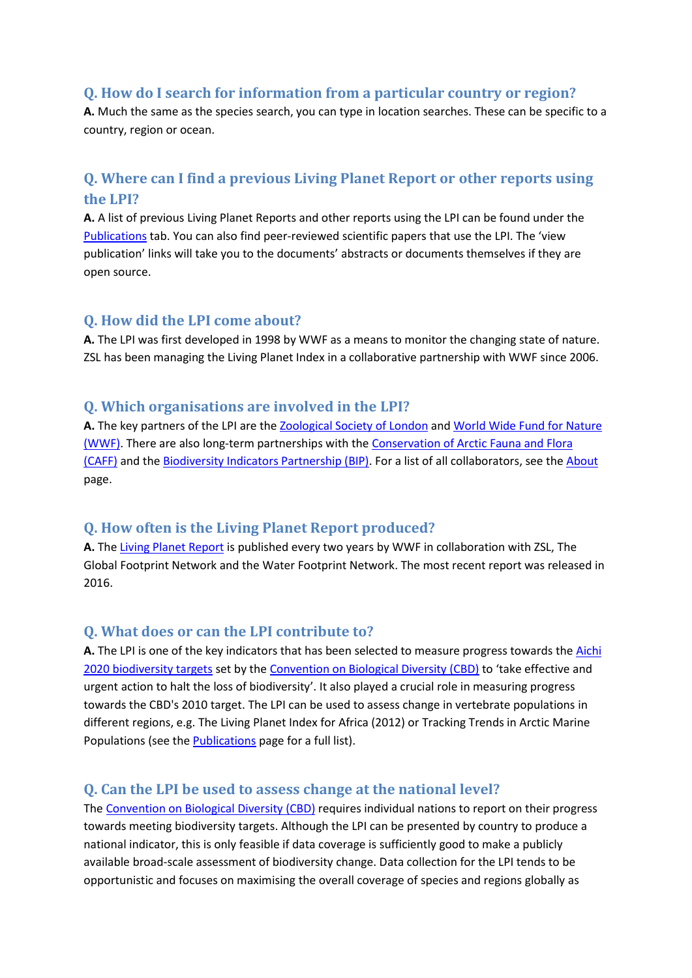#### <span id="page-1-0"></span>**Q. How do I search for information from a particular country or region?**

**A.** Much the same as the species search, you can type in location searches. These can be specific to a country, region or ocean.

# <span id="page-1-1"></span>**Q. Where can I find a previous Living Planet Report or other reports using the LPI?**

**A.** A list of previous Living Planet Reports and other reports using the LPI can be found under the [Publications](http://www.livingplanetindex.org/publications) tab. You can also find peer-reviewed scientific papers that use the LPI. The 'view publication' links will take you to the documents' abstracts or documents themselves if they are open source.

### <span id="page-1-2"></span>**Q. How did the LPI come about?**

**A.** The LPI was first developed in 1998 by WWF as a means to monitor the changing state of nature. ZSL has been managing the Living Planet Index in a collaborative partnership with WWF since 2006.

#### <span id="page-1-3"></span>**Q. Which organisations are involved in the LPI?**

**A.** The key partners of the LPI are the [Zoological Society of London](http://www.zsl.org/) and [World Wide Fund](http://www.wwf.org/) for Nature [\(WWF\).](http://www.wwf.org/) There are also long-term partnerships with the [Conservation of Arctic Fauna and Flora](http://www.caff.is/) [\(CAFF\)](http://www.caff.is/) and the [Biodiversity Indicators Partnership \(BIP\).](http://www.bipindicators.net/) For a list of all collaborators, see the [About](http://www.livingplanetindex.org/about) page.

#### <span id="page-1-4"></span>**Q. How often is the Living Planet Report produced?**

**A.** The [Living Planet Report](http://wwf.panda.org/about_our_earth/all_publications/living_planet_report/) is published every two years by WWF in collaboration with ZSL, The Global Footprint Network and the Water Footprint Network. The most recent report was released in 2016.

#### <span id="page-1-5"></span>**Q. What does or can the LPI contribute to?**

**A.** The LPI is one of the key indicators that has been selected to measure progress towards th[e Aichi](https://www.cbd.int/sp/targets/)  [2020 biodiversity targets](https://www.cbd.int/sp/targets/) set by the [Convention on Biological Diversity \(CBD\)](https://www.cbd.int/) to 'take effective and urgent action to halt the loss of biodiversity'. It also played a crucial role in measuring progress towards the CBD's 2010 target. The LPI can be used to assess change in vertebrate populations in different regions, e.g. The Living Planet Index for Africa (2012) or Tracking Trends in Arctic Marine Populations (see the **Publications** page for a full list).

# <span id="page-1-6"></span>**Q. Can the LPI be used to assess change at the national level?**

The [Convention on Biological Diversity \(CBD\)](https://www.cbd.int/) requires individual nations to report on their progress towards meeting biodiversity targets. Although the LPI can be presented by country to produce a national indicator, this is only feasible if data coverage is sufficiently good to make a publicly available broad-scale assessment of biodiversity change. Data collection for the LPI tends to be opportunistic and focuses on maximising the overall coverage of species and regions globally as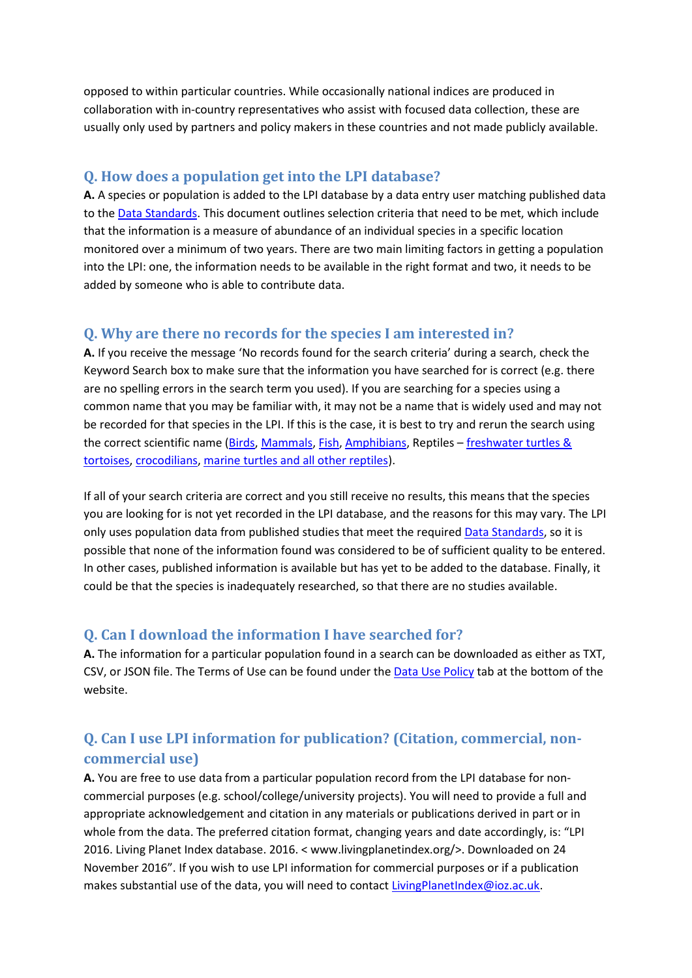opposed to within particular countries. While occasionally national indices are produced in collaboration with in-country representatives who assist with focused data collection, these are usually only used by partners and policy makers in these countries and not made publicly available.

#### <span id="page-2-0"></span>**Q. How does a population get into the LPI database?**

A. A species or population is added to the LPI database by a data entry user matching published data to th[e Data Standards.](http://www.livingplanetindex.org/documents/data_standards.pdf) This document outlines selection criteria that need to be met, which include that the information is a measure of abundance of an individual species in a specific location monitored over a minimum of two years. There are two main limiting factors in getting a population into the LPI: one, the information needs to be available in the right format and two, it needs to be added by someone who is able to contribute data.

### <span id="page-2-1"></span>**Q. Why are there no records for the species I am interested in?**

**A.** If you receive the message 'No records found for the search criteria' during a search, check the Keyword Search box to make sure that the information you have searched for is correct (e.g. there are no spelling errors in the search term you used). If you are searching for a species using a common name that you may be familiar with, it may not be a name that is widely used and may not be recorded for that species in the LPI. If this is the case, it is best to try and rerun the search using the correct scientific name [\(Birds,](http://www.iucnredlist.org/) [Mammals,](http://vertebrates.si.edu/msw/mswcfapp/msw/index.cfm) [Fish,](http://www.fishbase.org/) [Amphibians,](http://research.amnh.org/vz/herpetology/amphibia/) Reptiles – [freshwater turtles &](http://emys.geo.orst.edu/)  [tortoises,](http://emys.geo.orst.edu/) [crocodilians,](http://crocodilian.com/cnhc/csl.html) [marine turtles and all other reptiles\)](http://www.reptile-database.org/).

If all of your search criteria are correct and you still receive no results, this means that the species you are looking for is not yet recorded in the LPI database, and the reasons for this may vary. The LPI only uses population data from published studies that meet the require[d Data Standards,](http://www.livingplanetindex.org/documents/data_standards.pdf) so it is possible that none of the information found was considered to be of sufficient quality to be entered. In other cases, published information is available but has yet to be added to the database. Finally, it could be that the species is inadequately researched, so that there are no studies available.

#### <span id="page-2-2"></span>**Q. Can I download the information I have searched for?**

**A.** The information for a particular population found in a search can be downloaded as either as TXT, CSV, or JSON file. The Terms of Use can be found under the [Data Use Policy](http://www.livingplanetindex.org/assets/data_agreement.pdf) tab at the bottom of the website.

# <span id="page-2-3"></span>**Q. Can I use LPI information for publication? (Citation, commercial, noncommercial use)**

**A.** You are free to use data from a particular population record from the LPI database for noncommercial purposes (e.g. school/college/university projects). You will need to provide a full and appropriate acknowledgement and citation in any materials or publications derived in part or in whole from the data. The preferred citation format, changing years and date accordingly, is: "LPI 2016. Living Planet Index database. 2016. < www.livingplanetindex.org/>. Downloaded on 24 November 2016". If you wish to use LPI information for commercial purposes or if a publication makes substantial use of the data, you will need to contact [LivingPlanetIndex@ioz.ac.uk.](mailto:LivingPlanetIndex@ioz.ac.uk)